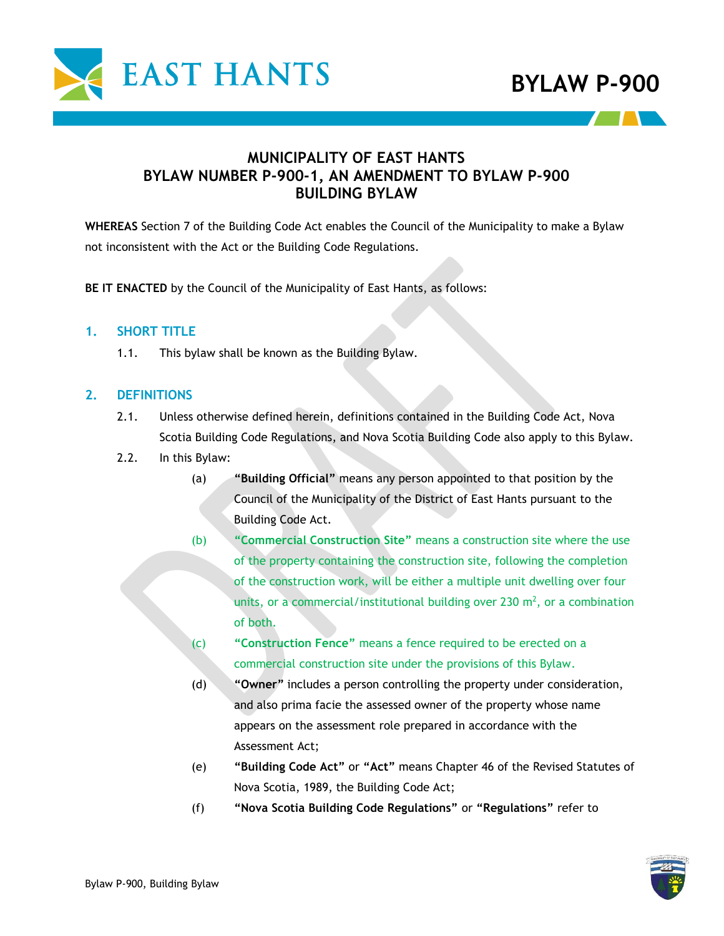

## **MUNICIPALITY OF EAST HANTS BYLAW NUMBER P-900-1, AN AMENDMENT TO BYLAW P-900 BUILDING BYLAW**

**WHEREAS** Section 7 of the Building Code Act enables the Council of the Municipality to make a Bylaw not inconsistent with the Act or the Building Code Regulations.

**BE IT ENACTED** by the Council of the Municipality of East Hants, as follows:

#### **1. SHORT TITLE**

1.1. This bylaw shall be known as the Building Bylaw.

#### **2. DEFINITIONS**

- 2.1. Unless otherwise defined herein, definitions contained in the Building Code Act, Nova Scotia Building Code Regulations, and Nova Scotia Building Code also apply to this Bylaw.
- 2.2. In this Bylaw:
	- (a) **"Building Official"** means any person appointed to that position by the Council of the Municipality of the District of East Hants pursuant to the Building Code Act.
	- (b) **"Commercial Construction Site"** means a construction site where the use of the property containing the construction site, following the completion of the construction work, will be either a multiple unit dwelling over four units, or a commercial/institutional building over 230  $m<sup>2</sup>$ , or a combination of both.
	- (c) **"Construction Fence"** means a fence required to be erected on a commercial construction site under the provisions of this Bylaw.
	- (d) **"Owner"** includes a person controlling the property under consideration, and also prima facie the assessed owner of the property whose name appears on the assessment role prepared in accordance with the Assessment Act;
	- (e) **"Building Code Act"** or **"Act"** means Chapter 46 of the Revised Statutes of Nova Scotia, 1989, the Building Code Act;
	- (f) **"Nova Scotia Building Code Regulations"** or **"Regulations"** refer to

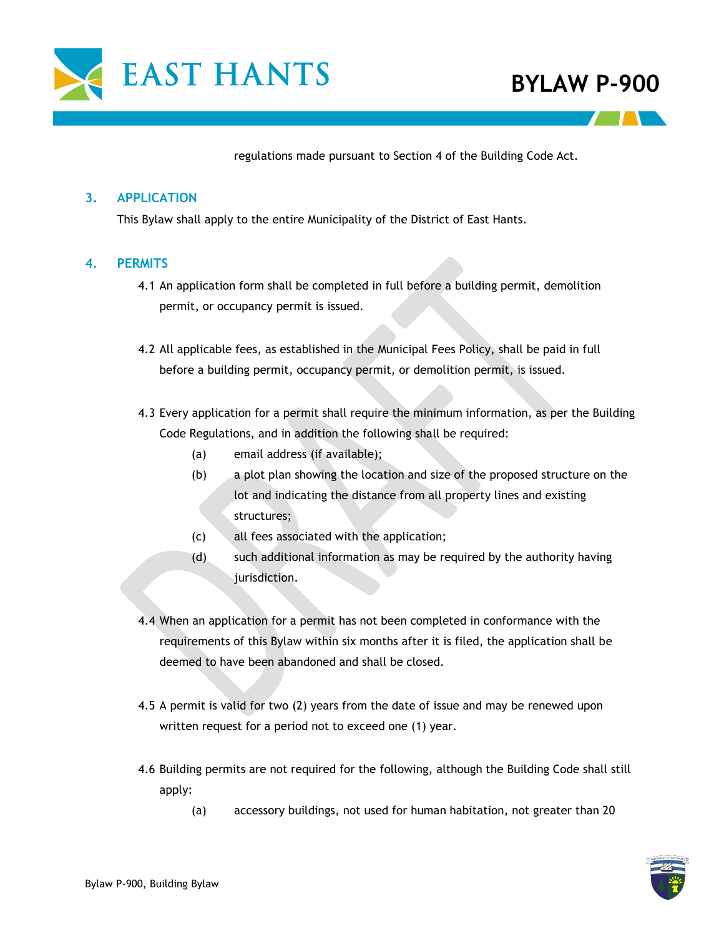

# **BYLAW P-900**

regulations made pursuant to Section 4 of the Building Code Act.

#### **3. APPLICATION**

This Bylaw shall apply to the entire Municipality of the District of East Hants.

#### **4. PERMITS**

- 4.1 An application form shall be completed in full before a building permit, demolition permit, or occupancy permit is issued.
- 4.2 All applicable fees, as established in the Municipal Fees Policy, shall be paid in full before a building permit, occupancy permit, or demolition permit, is issued.
- 4.3 Every application for a permit shall require the minimum information, as per the Building Code Regulations, and in addition the following shall be required:
	- (a) email address (if available);
	- (b) a plot plan showing the location and size of the proposed structure on the lot and indicating the distance from all property lines and existing structures;
	- (c) all fees associated with the application;
	- (d) such additional information as may be required by the authority having jurisdiction.
- 4.4 When an application for a permit has not been completed in conformance with the requirements of this Bylaw within six months after it is filed, the application shall be deemed to have been abandoned and shall be closed.
- 4.5 A permit is valid for two (2) years from the date of issue and may be renewed upon written request for a period not to exceed one (1) year.
- 4.6 Building permits are not required for the following, although the Building Code shall still apply:
	- (a) accessory buildings, not used for human habitation, not greater than 20

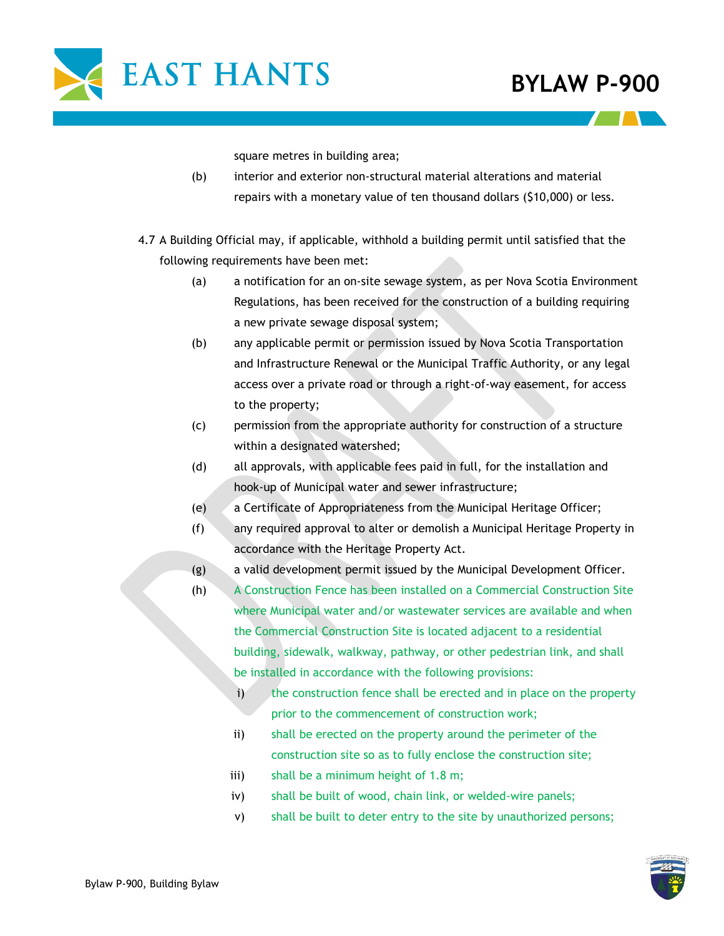

square metres in building area;

- (b) interior and exterior non-structural material alterations and material repairs with a monetary value of ten thousand dollars (\$10,000) or less.
- 4.7 A Building Official may, if applicable, withhold a building permit until satisfied that the following requirements have been met:
	- (a) a notification for an on-site sewage system, as per Nova Scotia Environment Regulations, has been received for the construction of a building requiring a new private sewage disposal system;
	- (b) any applicable permit or permission issued by Nova Scotia Transportation and Infrastructure Renewal or the Municipal Traffic Authority, or any legal access over a private road or through a right-of-way easement, for access to the property;
	- (c) permission from the appropriate authority for construction of a structure within a designated watershed;
	- (d) all approvals, with applicable fees paid in full, for the installation and hook-up of Municipal water and sewer infrastructure;
	- (e) a Certificate of Appropriateness from the Municipal Heritage Officer;
	- (f) any required approval to alter or demolish a Municipal Heritage Property in accordance with the Heritage Property Act.
	- (g) a valid development permit issued by the Municipal Development Officer.
	- (h) A Construction Fence has been installed on a Commercial Construction Site where Municipal water and/or wastewater services are available and when the Commercial Construction Site is located adjacent to a residential building, sidewalk, walkway, pathway, or other pedestrian link, and shall be installed in accordance with the following provisions:
		- i) the construction fence shall be erected and in place on the property prior to the commencement of construction work;
		- ii) shall be erected on the property around the perimeter of the construction site so as to fully enclose the construction site;
		- iii) shall be a minimum height of 1.8 m;
		- iv) shall be built of wood, chain link, or welded-wire panels;
		- v) shall be built to deter entry to the site by unauthorized persons;

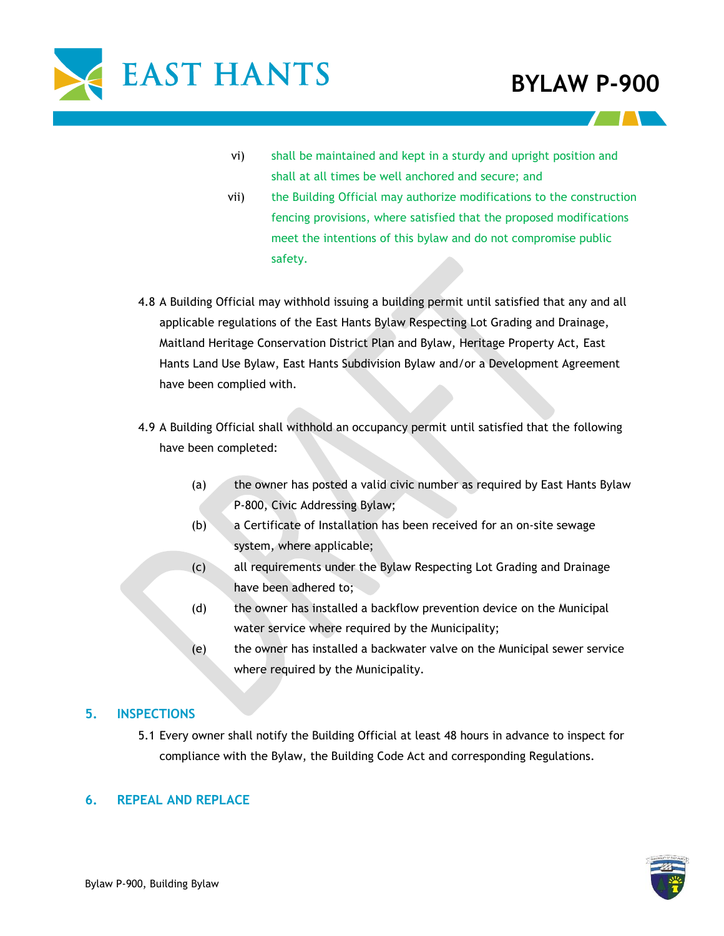

- vi) shall be maintained and kept in a sturdy and upright position and shall at all times be well anchored and secure; and
- vii) the Building Official may authorize modifications to the construction fencing provisions, where satisfied that the proposed modifications meet the intentions of this bylaw and do not compromise public safety.
- 4.8 A Building Official may withhold issuing a building permit until satisfied that any and all applicable regulations of the East Hants Bylaw Respecting Lot Grading and Drainage, Maitland Heritage Conservation District Plan and Bylaw, Heritage Property Act, East Hants Land Use Bylaw, East Hants Subdivision Bylaw and/or a Development Agreement have been complied with.
- 4.9 A Building Official shall withhold an occupancy permit until satisfied that the following have been completed:
	- (a) the owner has posted a valid civic number as required by East Hants Bylaw P-800, Civic Addressing Bylaw;
	- (b) a Certificate of Installation has been received for an on-site sewage system, where applicable;
	- (c) all requirements under the Bylaw Respecting Lot Grading and Drainage have been adhered to;
	- (d) the owner has installed a backflow prevention device on the Municipal water service where required by the Municipality;
	- (e) the owner has installed a backwater valve on the Municipal sewer service where required by the Municipality.

### **5. INSPECTIONS**

5.1 Every owner shall notify the Building Official at least 48 hours in advance to inspect for compliance with the Bylaw, the Building Code Act and corresponding Regulations.

### **6. REPEAL AND REPLACE**

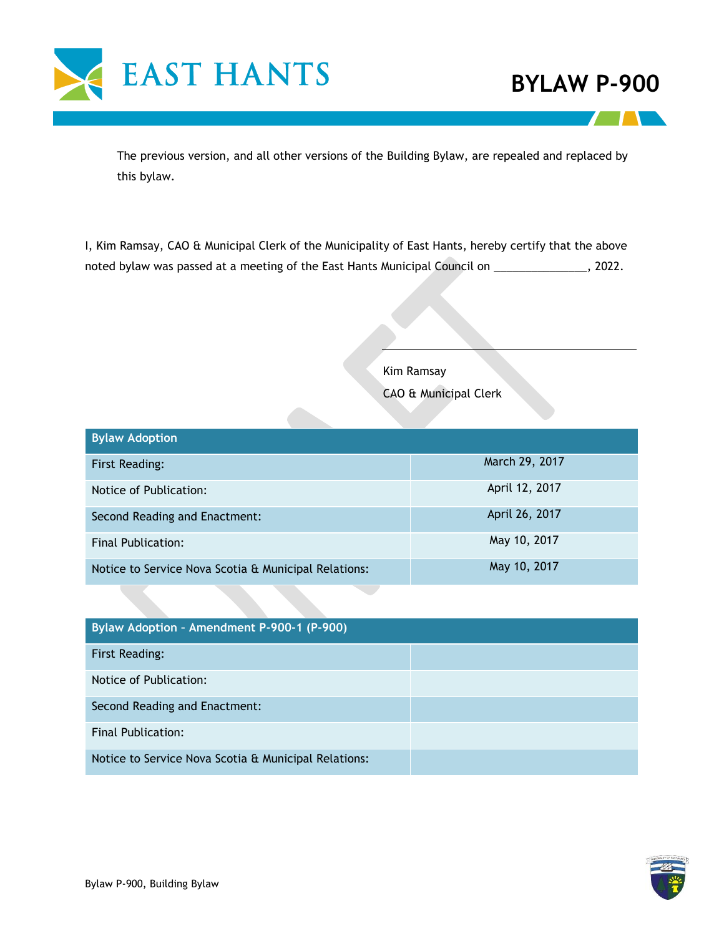

The previous version, and all other versions of the Building Bylaw, are repealed and replaced by this bylaw.

I, Kim Ramsay, CAO & Municipal Clerk of the Municipality of East Hants, hereby certify that the above noted bylaw was passed at a meeting of the East Hants Municipal Council on \_\_\_\_\_\_\_\_\_\_\_\_\_\_\_, 2022.

Kim Ramsay

CAO & Municipal Clerk

| <b>Bylaw Adoption</b>                                |                |  |
|------------------------------------------------------|----------------|--|
| First Reading:                                       | March 29, 2017 |  |
| Notice of Publication:                               | April 12, 2017 |  |
| Second Reading and Enactment:                        | April 26, 2017 |  |
| Final Publication:                                   | May 10, 2017   |  |
| Notice to Service Nova Scotia & Municipal Relations: | May 10, 2017   |  |

| Bylaw Adoption - Amendment P-900-1 (P-900)           |  |  |
|------------------------------------------------------|--|--|
| First Reading:                                       |  |  |
| Notice of Publication:                               |  |  |
| Second Reading and Enactment:                        |  |  |
| Final Publication:                                   |  |  |
| Notice to Service Nova Scotia & Municipal Relations: |  |  |